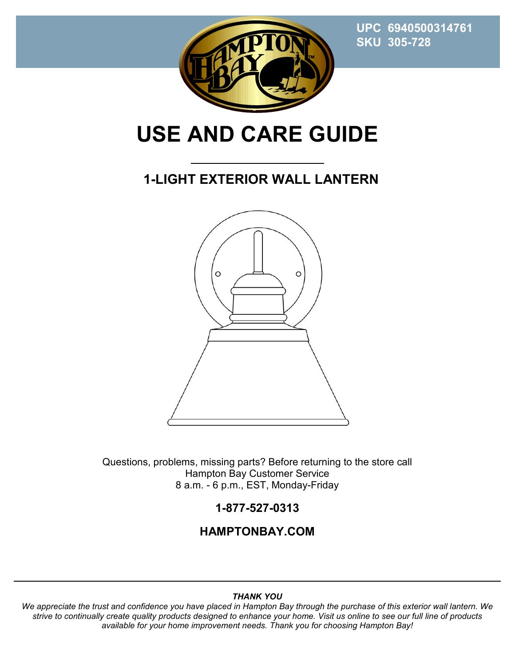**UPC 6940500314761 SKU 305-728** 



# **USE AND CARE GUIDE**

### **1-LIGHT EXTERIOR WALL LANTERN**



Questions, problems, missing parts? Before returning to the store call Hampton Bay Customer Service 8 a.m. - 6 p.m., EST, Monday-Friday

#### **1-877-527-0313**

#### **HAMPTONBAY.COM**

#### *THANK YOU*

*We appreciate the trust and confidence you have placed in Hampton Bay through the purchase of this exterior wall lantern. We strive to continually create quality products designed to enhance your home. Visit us online to see our full line of products available for your home improvement needs. Thank you for choosing Hampton Bay!*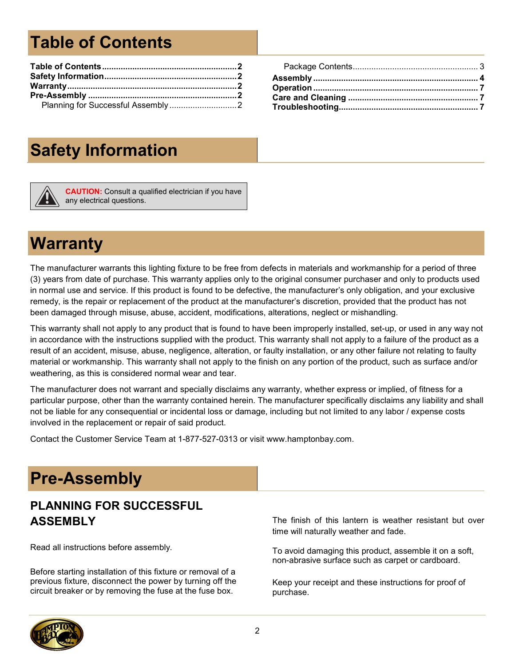# **Table of Contents**

# **Safety Information**



**CAUTION:** Consult a qualified electrician if you have any electrical questions.

## **Warranty**

The manufacturer warrants this lighting fixture to be free from defects in materials and workmanship for a period of three (3) years from date of purchase. This warranty applies only to the original consumer purchaser and only to products used in normal use and service. If this product is found to be defective, the manufacturer's only obligation, and your exclusive remedy, is the repair or replacement of the product at the manufacturer's discretion, provided that the product has not been damaged through misuse, abuse, accident, modifications, alterations, neglect or mishandling.

This warranty shall not apply to any product that is found to have been improperly installed, set-up, or used in any way not in accordance with the instructions supplied with the product. This warranty shall not apply to a failure of the product as a result of an accident, misuse, abuse, negligence, alteration, or faulty installation, or any other failure not relating to faulty material or workmanship. This warranty shall not apply to the finish on any portion of the product, such as surface and/or weathering, as this is considered normal wear and tear.

The manufacturer does not warrant and specially disclaims any warranty, whether express or implied, of fitness for a particular purpose, other than the warranty contained herein. The manufacturer specifically disclaims any liability and shall not be liable for any consequential or incidental loss or damage, including but not limited to any labor / expense costs involved in the replacement or repair of said product.

Contact the Customer Service Team at 1-877-527-0313 or visit www.hamptonbay.com.

## **Pre-Assembly**

#### **PLANNING FOR SUCCESSFUL ASSEMBLY**

Read all instructions before assembly.

Before starting installation of this fixture or removal of a previous fixture, disconnect the power by turning off the circuit breaker or by removing the fuse at the fuse box.

The finish of this lantern is weather resistant but over time will naturally weather and fade.

To avoid damaging this product, assemble it on a soft, non-abrasive surface such as carpet or cardboard.

Keep your receipt and these instructions for proof of purchase.

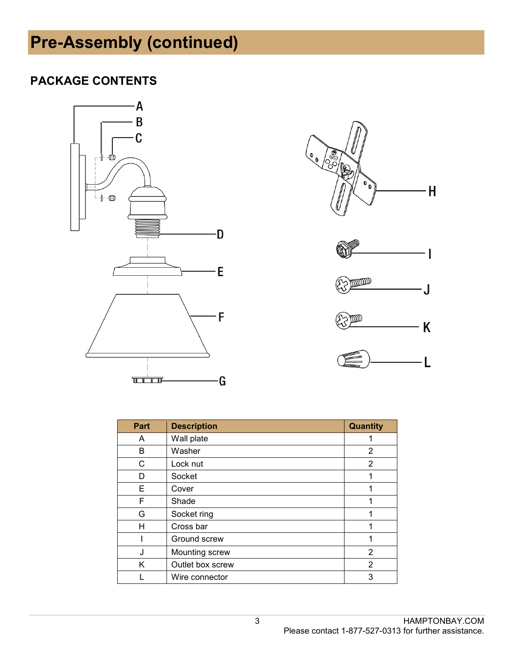# **Pre-Assembly (continued)**

#### **PACKAGE CONTENTS**













| Part | <b>Description</b> | Quantity       |
|------|--------------------|----------------|
| A    | Wall plate         |                |
| В    | Washer             | 2              |
| C    | Lock nut           | 2              |
| D    | Socket             |                |
| Е    | Cover              | 1              |
| F    | Shade              |                |
| G    | Socket ring        |                |
| н    | Cross bar          |                |
|      | Ground screw       |                |
| J    | Mounting screw     | 2              |
| Κ    | Outlet box screw   | $\overline{2}$ |
|      | Wire connector     | 3              |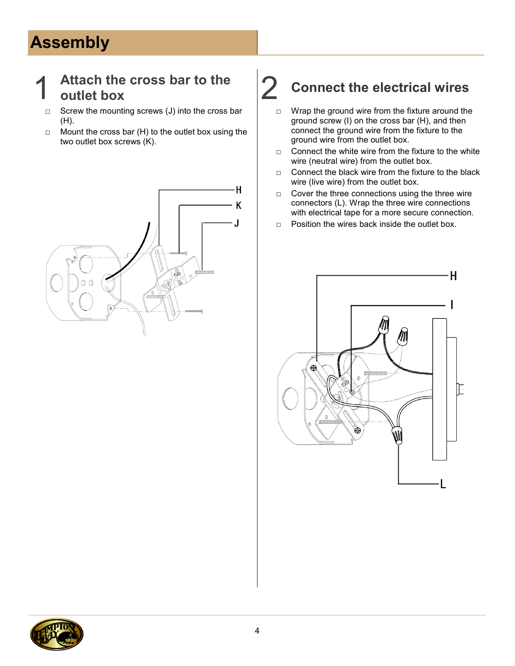# **Assembly**

### 1 **Attach the cross bar to the**

- □ Screw the mounting screws (J) into the cross bar (H).
- $\Box$  Mount the cross bar (H) to the outlet box using the two outlet box screws (K).



# **outlet box** 2 **Connect the electrical wires**

- $\Box$  Wrap the ground wire from the fixture around the ground screw (I) on the cross bar (H), and then connect the ground wire from the fixture to the ground wire from the outlet box.
- □ Connect the white wire from the fixture to the white wire (neutral wire) from the outlet box.
- □ Connect the black wire from the fixture to the black wire (live wire) from the outlet box.
- $\Box$  Cover the three connections using the three wire connectors (L). Wrap the three wire connections with electrical tape for a more secure connection.
- □ Position the wires back inside the outlet box.



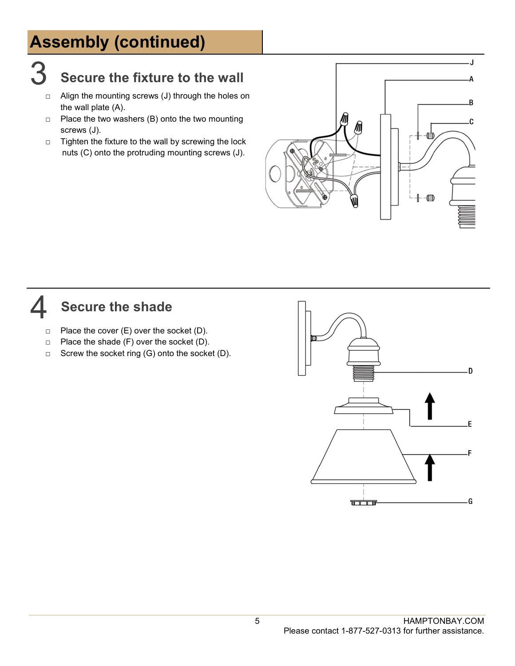# **Assembly (continued)**

### 3 **Secure the fixture to the wall**

- □ Align the mounting screws (J) through the holes on the wall plate (A).
- $\Box$  Place the two washers (B) onto the two mounting screws (J).
- □ Tighten the fixture to the wall by screwing the lock nuts (C) onto the protruding mounting screws (J).



#### 4 **Secure the shade**

- $\Box$  Place the cover (E) over the socket (D).
- $\Box$  Place the shade (F) over the socket (D).
- □ Screw the socket ring (G) onto the socket (D).

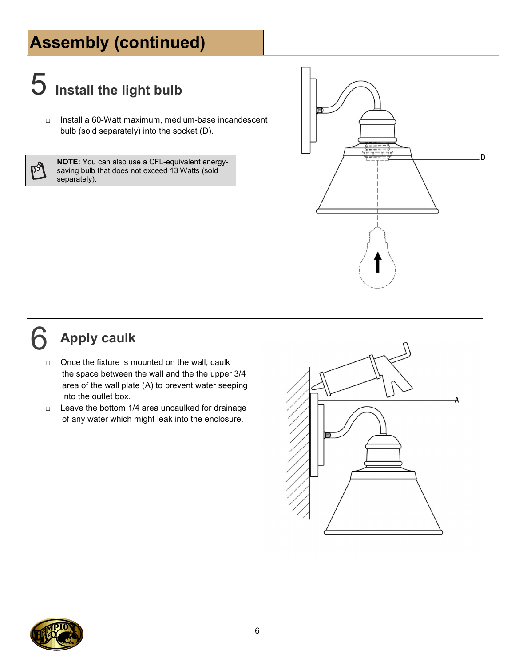# **Assembly (continued)**

# 5 **Install the light bulb**

□ Install a 60-Watt maximum, medium-base incandescent bulb (sold separately) into the socket (D).

**NOTE:** You can also use a CFL-equivalent energysaving bulb that does not exceed 13 Watts (sold separately).



## 6 **Apply caulk**

- □ Once the fixture is mounted on the wall, caulk the space between the wall and the the upper 3/4 area of the wall plate (A) to prevent water seeping into the outlet box.
- $\Box$  Leave the bottom 1/4 area uncaulked for drainage of any water which might leak into the enclosure.



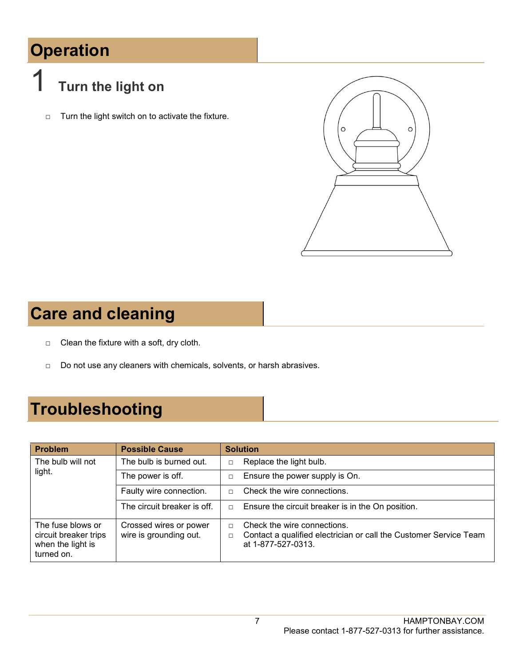# **Operation**



□ Turn the light switch on to activate the fixture.



## **Care and cleaning**

- □ Clean the fixture with a soft, dry cloth.
- □ Do not use any cleaners with chemicals, solvents, or harsh abrasives.

# **Troubleshooting**

| <b>Problem</b>                                                                | <b>Possible Cause</b>                            | <b>Solution</b>                                                                                                                            |
|-------------------------------------------------------------------------------|--------------------------------------------------|--------------------------------------------------------------------------------------------------------------------------------------------|
| The bulb will not                                                             | The bulb is burned out.                          | Replace the light bulb.<br>$\Box$                                                                                                          |
| light.                                                                        | The power is off.                                | Ensure the power supply is On.<br>$\Box$                                                                                                   |
|                                                                               | Faulty wire connection.                          | Check the wire connections.<br>$\Box$                                                                                                      |
|                                                                               | The circuit breaker is off.                      | Ensure the circuit breaker is in the On position.<br>$\Box$                                                                                |
| The fuse blows or<br>circuit breaker trips<br>when the light is<br>turned on. | Crossed wires or power<br>wire is grounding out. | Check the wire connections.<br>$\Box$<br>Contact a qualified electrician or call the Customer Service Team<br>$\Box$<br>at 1-877-527-0313. |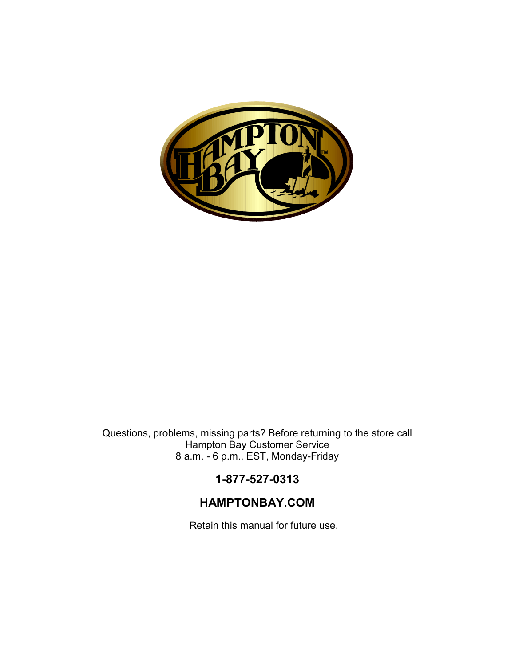

Questions, problems, missing parts? Before returning to the store call Hampton Bay Customer Service 8 a.m. - 6 p.m., EST, Monday-Friday

#### **1-877-527-0313**

#### **HAMPTONBAY.COM**

Retain this manual for future use.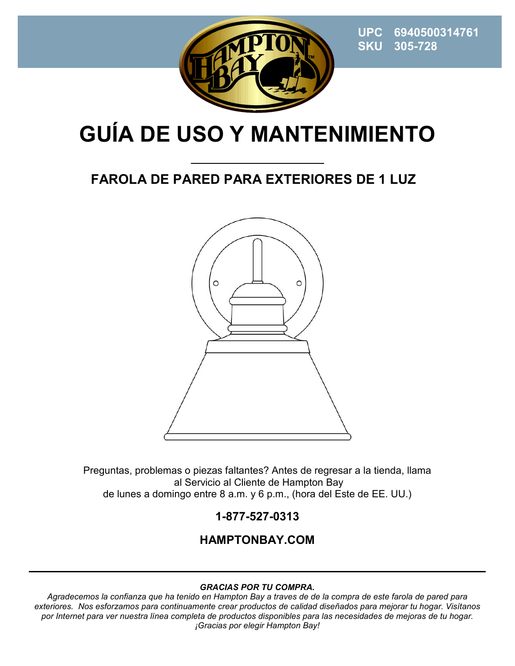

 **UPC 6940500314761 SKU 305-728**

# **GUÍA DE USO Y MANTENIMIENTO**

### **FAROLA DE PARED PARA EXTERIORES DE 1 LUZ**



Preguntas, problemas o piezas faltantes? Antes de regresar a la tienda, llama al Servicio al Cliente de Hampton Bay de lunes a domingo entre 8 a.m. y 6 p.m., (hora del Este de EE. UU.)

#### **1-877-527-0313**

#### **HAMPTONBAY.COM**

#### *GRACIAS POR TU COMPRA.*

*Agradecemos la confianza que ha tenido en Hampton Bay a traves de de la compra de este farola de pared para exteriores. Nos esforzamos para continuamente crear productos de calidad diseñados para mejorar tu hogar. Visítanos por Internet para ver nuestra línea completa de productos disponibles para las necesidades de mejoras de tu hogar. ¡Gracias por elegir Hampton Bay!*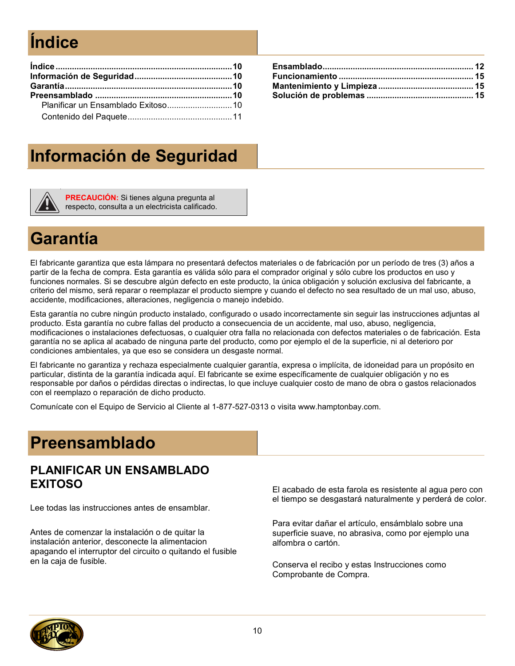# **Índice**

## **Información de Seguridad**

**PRECAUCIÓN:** Si tienes alguna pregunta al respecto, consulta a un electricista calificado.

## **Garantía**

El fabricante garantiza que esta lámpara no presentará defectos materiales o de fabricación por un período de tres (3) años a partir de la fecha de compra. Esta garantía es válida sólo para el comprador original y sólo cubre los productos en uso y funciones normales. Si se descubre algún defecto en este producto, la única obligación y solución exclusiva del fabricante, a criterio del mismo, será reparar o reemplazar el producto siempre y cuando el defecto no sea resultado de un mal uso, abuso, accidente, modificaciones, alteraciones, negligencia o manejo indebido.

Esta garantía no cubre ningún producto instalado, configurado o usado incorrectamente sin seguir las instrucciones adjuntas al producto. Esta garantía no cubre fallas del producto a consecuencia de un accidente, mal uso, abuso, negligencia, modificaciones o instalaciones defectuosas, o cualquier otra falla no relacionada con defectos materiales o de fabricación. Esta garantía no se aplica al acabado de ninguna parte del producto, como por ejemplo el de la superficie, ni al deterioro por condiciones ambientales, ya que eso se considera un desgaste normal.

El fabricante no garantiza y rechaza especialmente cualquier garantía, expresa o implícita, de idoneidad para un propósito en particular, distinta de la garantía indicada aquí. El fabricante se exime específicamente de cualquier obligación y no es responsable por daños o pérdidas directas o indirectas, lo que incluye cualquier costo de mano de obra o gastos relacionados con el reemplazo o reparación de dicho producto.

Comunícate con el Equipo de Servicio al Cliente al 1-877-527-0313 o visita www.hamptonbay.com.

## **Preensamblado**

#### **PLANIFICAR UN ENSAMBLADO EXITOSO**

Lee todas las instrucciones antes de ensamblar.

Antes de comenzar la instalación o de quitar la instalación anterior, desconecte la alimentacion apagando el interruptor del circuito o quitando el fusible en la caja de fusible.

El acabado de esta farola es resistente al agua pero con el tiempo se desgastará naturalmente y perderá de color.

Para evitar dañar el artículo, ensámblalo sobre una superficie suave, no abrasiva, como por ejemplo una alfombra o cartón.

Conserva el recibo y estas Instrucciones como Comprobante de Compra.

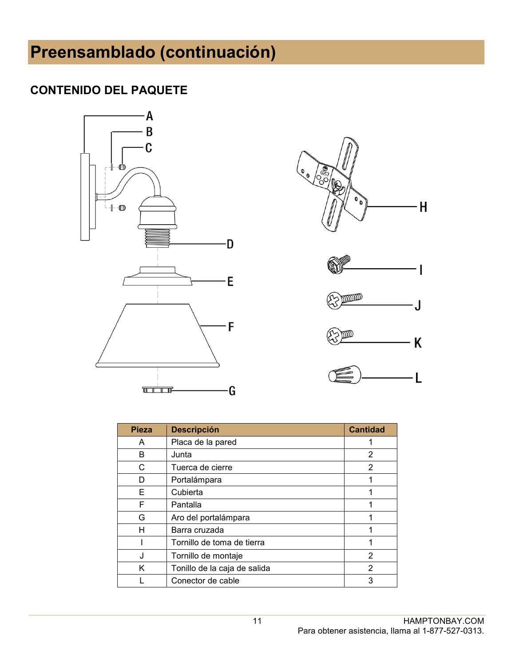# **Preensamblado (continuación)**

#### **CONTENIDO DEL PAQUETE**





| Pieza | <b>Descripción</b>           | <b>Cantidad</b> |
|-------|------------------------------|-----------------|
| A     | Placa de la pared            |                 |
| B     | Junta                        | 2               |
| С     | Tuerca de cierre             | 2               |
| D     | Portalámpara                 |                 |
| Е     | Cubierta                     | 1               |
| F     | Pantalla                     |                 |
| G     | Aro del portalámpara         |                 |
| н     | Barra cruzada                |                 |
|       | Tornillo de toma de tierra   |                 |
| J     | Tornillo de montaje          | 2               |
| K     | Tonillo de la caja de salida | 2               |
|       | Conector de cable            | 3               |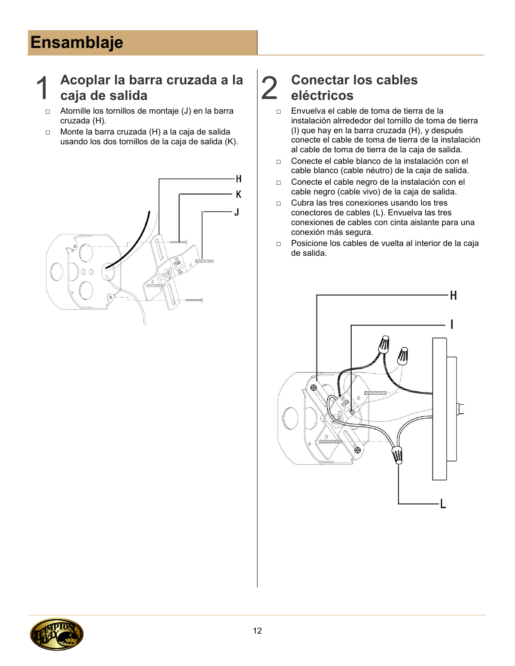# **Ensamblaje**

### 1 **Acoplar la barra cruzada a la caja de salida** 2

- □ Atornille los tornillos de montaje (J) en la barra cruzada (H).
- □ Monte la barra cruzada (H) a la caja de salida usando los dos tornillos de la caja de salida (K).



## **Conectar los cables eléctricos**

- □ Envuelva el cable de toma de tierra de la instalación alrrededor del tornillo de toma de tierra (I) que hay en la barra cruzada (H), y después conecte el cable de toma de tierra de la instalación al cable de toma de tierra de la caja de salida.
- □ Conecte el cable blanco de la instalación con el cable blanco (cable néutro) de la caja de salida.
- □ Conecte el cable negro de la instalación con el cable negro (cable vivo) de la caja de salida.
- □ Cubra las tres conexiones usando los tres conectores de cables (L). Envuelva las tres conexiones de cables con cinta aislante para una conexión más segura.
- □ Posicione los cables de vuelta al interior de la caja de salida.



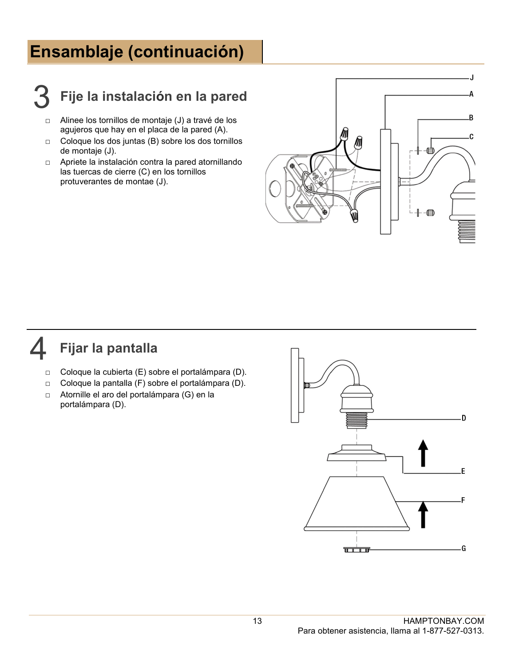## **Ensamblaje (continuación)**



### 3 **Fije la instalación en la pared**

- □ Alinee los tornillos de montaje (J) a travé de los agujeros que hay en el placa de la pared (A).
- □ Coloque los dos juntas (B) sobre los dos tornillos de montaje (J).
- □ Apriete la instalación contra la pared atornillando las tuercas de cierre (C) en los tornillos protuverantes de montae (J).



### 4 **Fijar la pantalla**

- □ Coloque la cubierta (E) sobre el portalámpara (D).
- □ Coloque la pantalla (F) sobre el portalámpara (D).
- □ Atornille el aro del portalámpara (G) en la portalámpara (D).

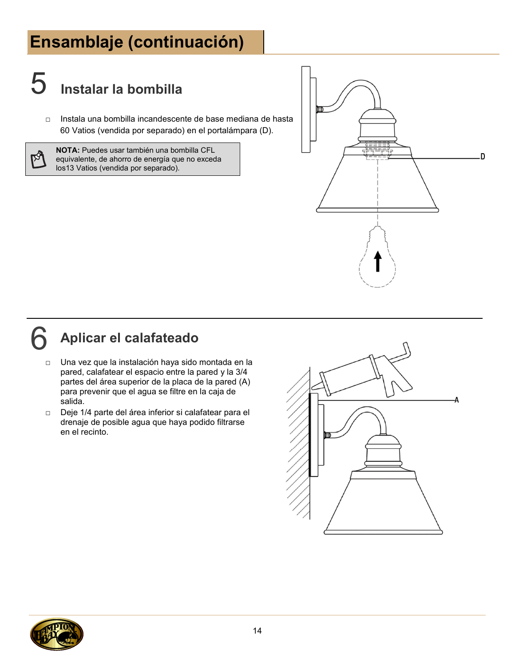# **Ensamblaje (continuación)**

# 5 **Instalar la bombilla**

□ Instala una bombilla incandescente de base mediana de hasta 60 Vatios (vendida por separado) en el portalámpara (D).

ನ

**NOTA:** Puedes usar también una bombilla CFL equivalente, de ahorro de energía que no exceda los13 Vatios (vendida por separado).



## 6 **Aplicar el calafateado**

- □ Una vez que la instalación haya sido montada en la pared, calafatear el espacio entre la pared y la 3/4 partes del área superior de la placa de la pared (A) para prevenir que el agua se filtre en la caja de salida.
- □ Deje 1/4 parte del área inferior si calafatear para el drenaje de posible agua que haya podido filtrarse en el recinto.



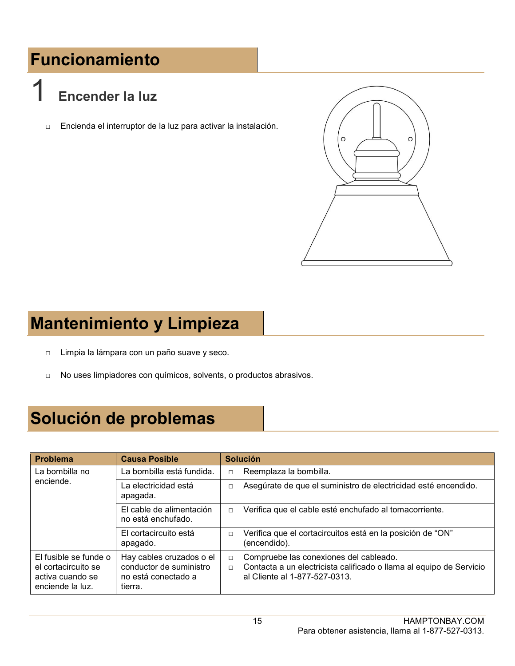# **Funcionamiento**

# 1 **Encender la luz**

□ Encienda el interruptor de la luz para activar la instalación.



# **Mantenimiento y Limpieza**

- □ Limpia la lámpara con un paño suave y seco.
- □ No uses limpiadores con químicos, solvents, o productos abrasivos.

## **Solución de problemas**

| <b>Problema</b>                                                                      | <b>Causa Posible</b>                                                                  | <b>Solución</b>                                                                                                                                                    |
|--------------------------------------------------------------------------------------|---------------------------------------------------------------------------------------|--------------------------------------------------------------------------------------------------------------------------------------------------------------------|
| La bombilla no                                                                       | La bombilla está fundida.                                                             | Reemplaza la bombilla.<br>$\Box$                                                                                                                                   |
| enciende.                                                                            | La electricidad está<br>apagada.                                                      | Asegúrate de que el suministro de electricidad esté encendido.<br>$\Box$                                                                                           |
|                                                                                      | El cable de alimentación<br>no está enchufado.                                        | Verifica que el cable esté enchufado al tomacorriente.<br>$\Box$                                                                                                   |
|                                                                                      | El cortacircuito está<br>apagado.                                                     | Verifica que el cortacircuitos está en la posición de "ON"<br>$\Box$<br>(encendido).                                                                               |
| El fusible se funde o<br>el cortacircuito se<br>activa cuando se<br>enciende la luz. | Hay cables cruzados o el<br>conductor de suministro<br>no está conectado a<br>tierra. | Compruebe las conexiones del cableado.<br>$\Box$<br>Contacta a un electricista calificado o llama al equipo de Servicio<br>$\Box$<br>al Cliente al 1-877-527-0313. |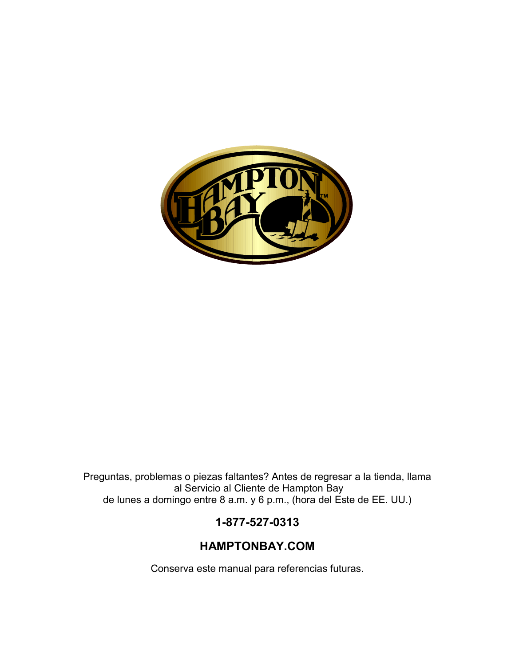

Preguntas, problemas o piezas faltantes? Antes de regresar a la tienda, llama al Servicio al Cliente de Hampton Bay de lunes a domingo entre 8 a.m. y 6 p.m., (hora del Este de EE. UU.)

#### **1-877-527-0313**

#### **HAMPTONBAY.COM**

Conserva este manual para referencias futuras.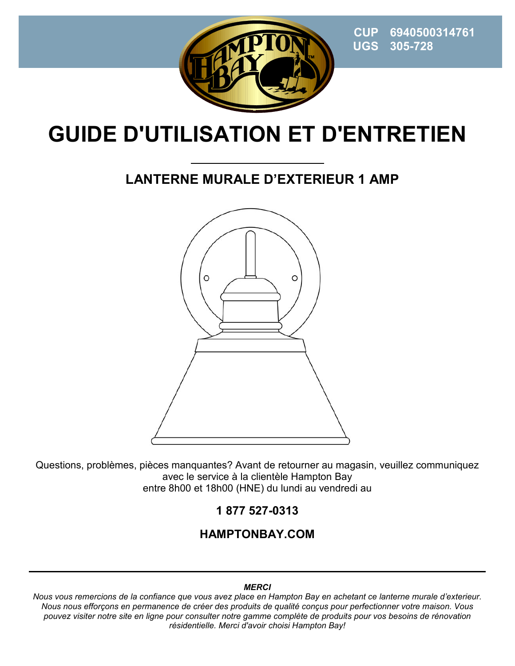

 **CUP 6940500314761 UGS 305-728**

# **GUIDE D'UTILISATION ET D'ENTRETIEN**

### **LANTERNE MURALE D'EXTERIEUR 1 AMP**



Questions, problèmes, pièces manquantes? Avant de retourner au magasin, veuillez communiquez avec le service à la clientèle Hampton Bay entre 8h00 et 18h00 (HNE) du lundi au vendredi au

#### **1 877 527-0313**

#### **HAMPTONBAY.COM**

#### *MERCI*

*Nous vous remercions de la confiance que vous avez place en Hampton Bay en achetant ce lanterne murale d'exterieur. Nous nous efforçons en permanence de créer des produits de qualité conçus pour perfectionner votre maison. Vous pouvez visiter notre site en ligne pour consulter notre gamme complète de produits pour vos besoins de rénovation résidentielle. Merci d'avoir choisi Hampton Bay!*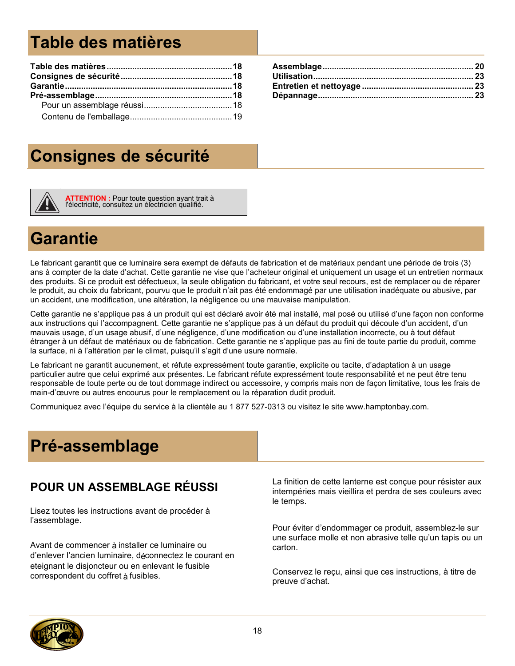# **Table des matières**

## **Consignes de sécurité**



**ATTENTION :** Pour toute question ayant trait à l'électricité, consultez un électricien qualifié.

## **Garantie**

Le fabricant garantit que ce luminaire sera exempt de défauts de fabrication et de matériaux pendant une période de trois (3) ans à compter de la date d'achat. Cette garantie ne vise que l'acheteur original et uniquement un usage et un entretien normaux des produits. Si ce produit est défectueux, la seule obligation du fabricant, et votre seul recours, est de remplacer ou de réparer le produit, au choix du fabricant, pourvu que le produit n'ait pas été endommagé par une utilisation inadéquate ou abusive, par un accident, une modification, une altération, la négligence ou une mauvaise manipulation.

Cette garantie ne s'applique pas à un produit qui est déclaré avoir été mal installé, mal posé ou utilisé d'une façon non conforme aux instructions qui l'accompagnent. Cette garantie ne s'applique pas à un défaut du produit qui découle d'un accident, d'un mauvais usage, d'un usage abusif, d'une négligence, d'une modification ou d'une installation incorrecte, ou à tout défaut étranger à un défaut de matériaux ou de fabrication. Cette garantie ne s'applique pas au fini de toute partie du produit, comme la surface, ni à l'altération par le climat, puisqu'il s'agit d'une usure normale.

Le fabricant ne garantit aucunement, et réfute expressément toute garantie, explicite ou tacite, d'adaptation à un usage particulier autre que celui exprimé aux présentes. Le fabricant réfute expressément toute responsabilité et ne peut être tenu responsable de toute perte ou de tout dommage indirect ou accessoire, y compris mais non de façon limitative, tous les frais de main-d'œuvre ou autres encourus pour le remplacement ou la réparation dudit produit.

Communiquez avec l'équipe du service à la clientèle au 1 877 527-0313 ou visitez le site www.hamptonbay.com.

# **Pré-assemblage**

#### **POUR UN ASSEMBLAGE RÉUSSI**

Lisez toutes les instructions avant de procéder à l'assemblage.

Avant de commencer à installer ce luminaire ou d'enlever l'ancien luminaire, déconnectez le courant en eteignant le disjoncteur ou en enlevant le fusible correspondent du coffret à fusibles.

La finition de cette lanterne est conçue pour résister aux intempéries mais vieillira et perdra de ses couleurs avec le temps.

Pour éviter d'endommager ce produit, assemblez-le sur une surface molle et non abrasive telle qu'un tapis ou un carton.

Conservez le reçu, ainsi que ces instructions, à titre de preuve d'achat.

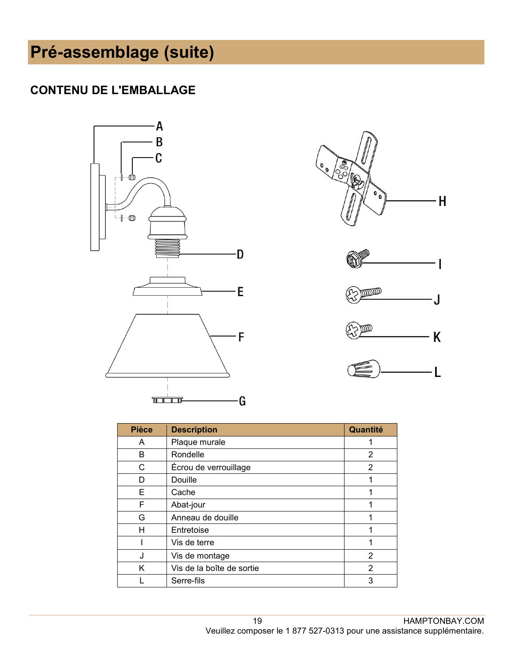#### **CONTENU DE L'EMBALLAGE**





| <b>Pièce</b> | <b>Description</b>        | Quantité       |
|--------------|---------------------------|----------------|
| A            | Plaque murale             |                |
| В            | Rondelle                  | 2              |
| С            | Écrou de verrouillage     | 2              |
| D            | Douille                   | 1              |
| E            | Cache                     | 1              |
| F            | Abat-jour                 | 1              |
| G            | Anneau de douille         |                |
| Н            | Entretoise                |                |
|              | Vis de terre              | 1              |
| J            | Vis de montage            | 2              |
| K            | Vis de la boîte de sortie | $\overline{2}$ |
|              | Serre-fils                | 3              |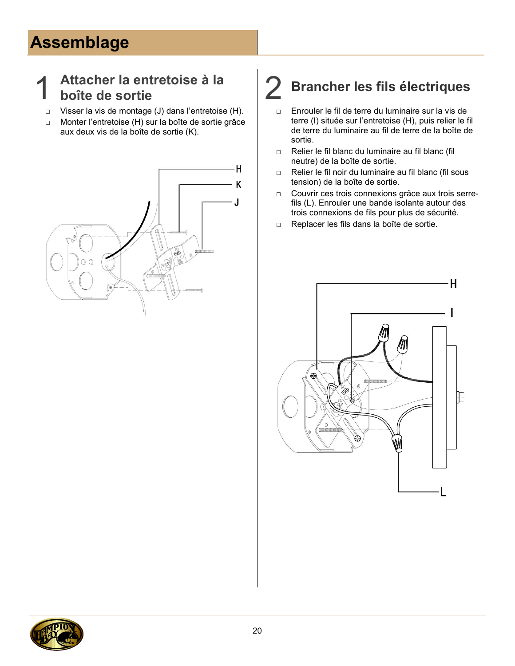# **Assemblage**

### 1 **Attacher la entretoise à la**

- □ Visser la vis de montage (J) dans l'entretoise (H).
- □ Monter l'entretoise (H) sur la boîte de sortie grâce aux deux vis de la boîte de sortie (K).



# **boîte de sortie** 2 **Brancher les fils électriques**

- □ Enrouler le fil de terre du luminaire sur la vis de terre (I) située sur l'entretoise (H), puis relier le fil de terre du luminaire au fil de terre de la boîte de sortie.
- □ Relier le fil blanc du luminaire au fil blanc (fil neutre) de la boîte de sortie.
- □ Relier le fil noir du luminaire au fil blanc (fil sous tension) de la boîte de sortie.
- □ Couvrir ces trois connexions grâce aux trois serrefils (L). Enrouler une bande isolante autour des trois connexions de fils pour plus de sécurité.
- □ Replacer les fils dans la boîte de sortie.



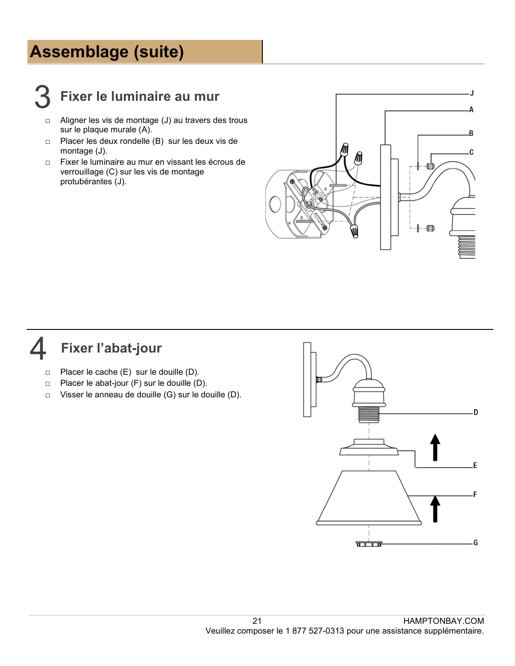## **Assemblage (suite)**



### 3 **Fixer le luminaire au mur**

- □ Aligner les vis de montage (J) au travers des trous sur le plaque murale (A).
- □ Placer les deux rondelle (B) sur les deux vis de montage (J).
- □ Fixer le luminaire au mur en vissant les écrous de verrouillage (C) sur les vis de montage protubérantes (J).



#### 4 **Fixer l'abat-jour**

- □ Placer le cache (E) sur le douille (D).
- □ Placer le abat-jour (F) sur le douille (D).
- □ Visser le anneau de douille (G) sur le douille (D).

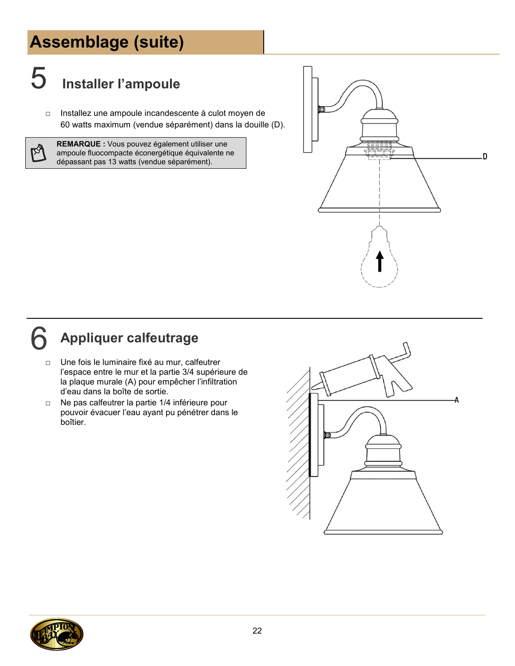# **Assemblage (suite)**



# 5 **Installer I'ampoule**

□ Installez une ampoule incandescente à culot moyen de 60 watts maximum (vendue séparément) dans la douille (D).

☆

**REMARQUE :** Vous pouvez également utiliser une ampoule fluocompacte éconergétique équivalente ne dépassant pas 13 watts (vendue séparément).



# 6 **Appliquer calfeutrage**

- □ Une fois le luminaire fixé au mur, calfeutrer l'espace entre le mur et la partie 3/4 supérieure de la plaque murale (A) pour empêcher l'infiltration d'eau dans la boîte de sortie.
- □ Ne pas calfeutrer la partie 1/4 inférieure pour pouvoir évacuer l'eau ayant pu pénétrer dans le boîtier.



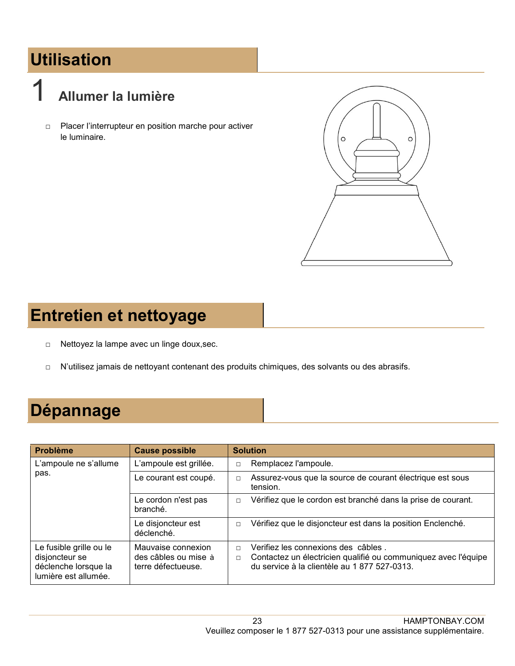# **Utilisation**

# 1 **Allumer la lumière**

□ Placer l'interrupteur en position marche pour activer le luminaire.



## **Entretien et nettoyage**

- □ Nettoyez la lampe avec un linge doux, sec.
- □ N'utilisez jamais de nettoyant contenant des produits chimiques, des solvants ou des abrasifs.

# **Dépannage**

| <b>Problème</b>                                                                           | <b>Cause possible</b>                                            | <b>Solution</b>                                                                                                                                                           |
|-------------------------------------------------------------------------------------------|------------------------------------------------------------------|---------------------------------------------------------------------------------------------------------------------------------------------------------------------------|
| L'ampoule ne s'allume<br>pas.                                                             | L'ampoule est grillée.                                           | Remplacez l'ampoule.<br>$\Box$                                                                                                                                            |
|                                                                                           | Le courant est coupé.                                            | Assurez-vous que la source de courant électrique est sous<br>$\Box$<br>tension.                                                                                           |
|                                                                                           | Le cordon n'est pas<br>branché.                                  | Vérifiez que le cordon est branché dans la prise de courant.<br>$\Box$                                                                                                    |
|                                                                                           | Le disjoncteur est<br>déclenché.                                 | Vérifiez que le disjoncteur est dans la position Enclenché.<br>$\Box$                                                                                                     |
| Le fusible grille ou le<br>disjoncteur se<br>déclenche lorsque la<br>lumière est allumée. | Mauvaise connexion<br>des câbles ou mise à<br>terre défectueuse. | Verifiez les connexions des câbles.<br>$\Box$<br>Contactez un électricien qualifié ou communiquez avec l'équipe<br>$\Box$<br>du service à la clientèle au 1 877 527-0313. |